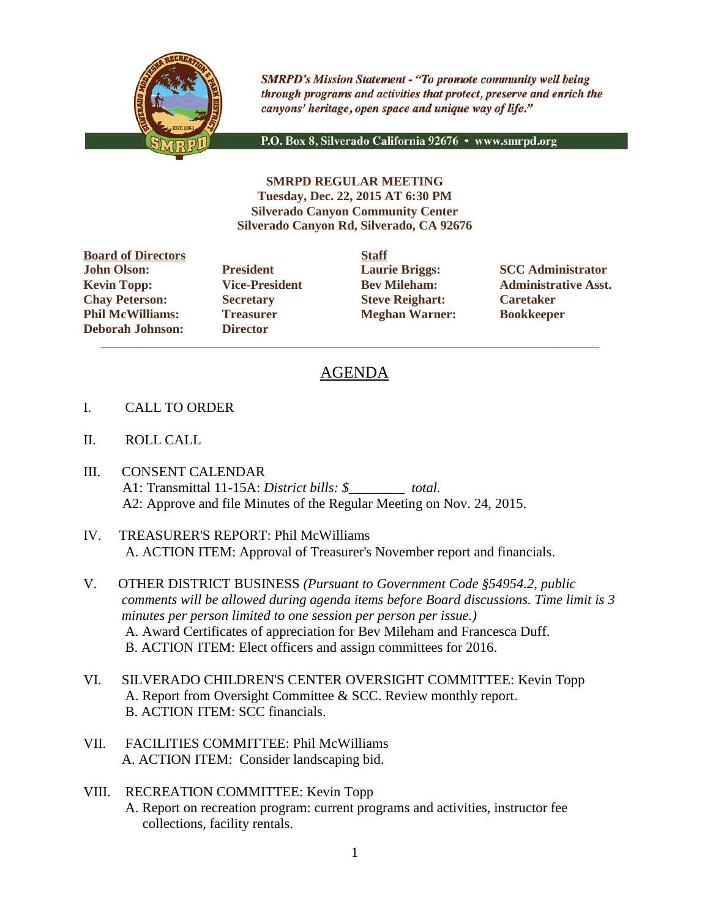

**SMRPD's Mission Statement - "To promote community well being** through programs and activities that protect, preserve and enrich the canyons' heritage, open space and unique way of life."

P.O. Box 8, Silverado California 92676 · www.smrpd.org

**SMRPD REGULAR MEETING Tuesday, Dec. 22, 2015 AT 6:30 PM Silverado Canyon Community Center Silverado Canyon Rd, Silverado, CA 92676**

**Board of Directors Staff John Olson: President Laurie Briggs: SCC Administrator Chay Peterson: Secretary Steve Reighart: Caretaker Phil McWilliams: Treasurer Meghan Warner: Bookkeeper Deborah Johnson: Director**

 $\overline{\phantom{a}}$  ,  $\overline{\phantom{a}}$  ,  $\overline{\phantom{a}}$  ,  $\overline{\phantom{a}}$  ,  $\overline{\phantom{a}}$  ,  $\overline{\phantom{a}}$  ,  $\overline{\phantom{a}}$  ,  $\overline{\phantom{a}}$  ,  $\overline{\phantom{a}}$  ,  $\overline{\phantom{a}}$  ,  $\overline{\phantom{a}}$  ,  $\overline{\phantom{a}}$  ,  $\overline{\phantom{a}}$  ,  $\overline{\phantom{a}}$  ,  $\overline{\phantom{a}}$  ,  $\overline{\phantom{a}}$ 

**Kevin Topp: Vice-President Bev Mileham: Administrative Asst.**

## AGENDA

- I. CALL TO ORDER
- II. ROLL CALL
- III. CONSENT CALENDAR A1: Transmittal 11-15A: *District bills: \$\_\_\_\_\_\_\_\_ total.* A2: Approve and file Minutes of the Regular Meeting on Nov. 24, 2015.
- IV. TREASURER'S REPORT: Phil McWilliams A. ACTION ITEM: Approval of Treasurer's November report and financials.
- V. OTHER DISTRICT BUSINESS *(Pursuant to Government Code §54954.2, public comments will be allowed during agenda items before Board discussions. Time limit is 3 minutes per person limited to one session per person per issue.)* A. Award Certificates of appreciation for Bev Mileham and Francesca Duff. B. ACTION ITEM: Elect officers and assign committees for 2016.
- VI. SILVERADO CHILDREN'S CENTER OVERSIGHT COMMITTEE: Kevin Topp A. Report from Oversight Committee & SCC. Review monthly report. B. ACTION ITEM: SCC financials.
- VII. FACILITIES COMMITTEE: Phil McWilliams A. ACTION ITEM: Consider landscaping bid.
- VIII. RECREATION COMMITTEE: Kevin Topp A. Report on recreation program: current programs and activities, instructor fee collections, facility rentals.